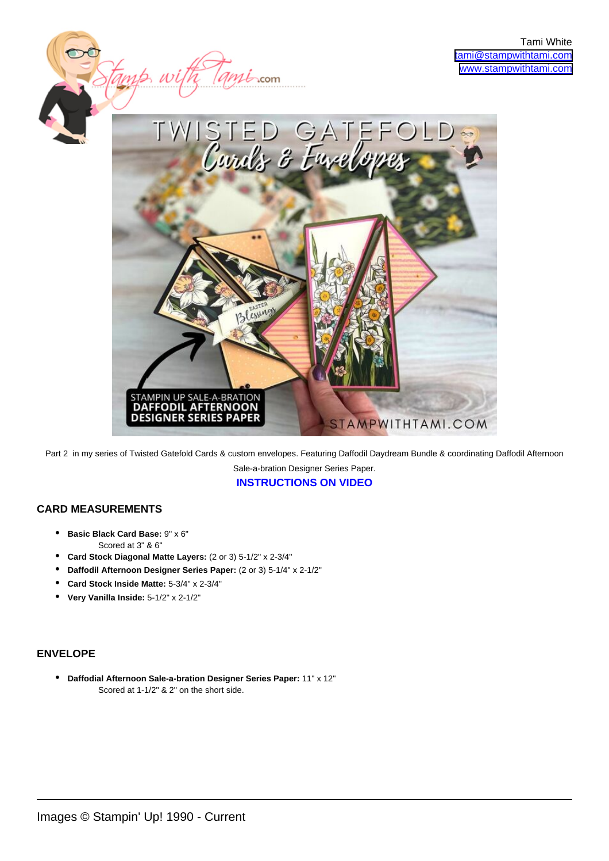

Part 2 in my series of Twisted Gatefold Cards & custom envelopes. Featuring Daffodil Daydream Bundle & coordinating Daffodil Afternoon Sale-a-bration Designer Series Paper.

**[INSTRUCTIONS ON VIDEO](https://youtu.be/BWV494KzYSM)**

## **CARD MEASUREMENTS**

- **Basic Black Card Base:** 9" x 6" Scored at 3" & 6"
- **Card Stock Diagonal Matte Layers:** (2 or 3) 5-1/2" x 2-3/4"
- **Daffodil Afternoon Designer Series Paper:** (2 or 3) 5-1/4" x 2-1/2"
- **Card Stock Inside Matte:** 5-3/4" x 2-3/4"
- **Very Vanilla Inside:** 5-1/2" x 2-1/2"

## **ENVELOPE**

**Daffodial Afternoon Sale-a-bration Designer Series Paper:** 11" x 12" • Scored at 1-1/2" & 2" on the short side.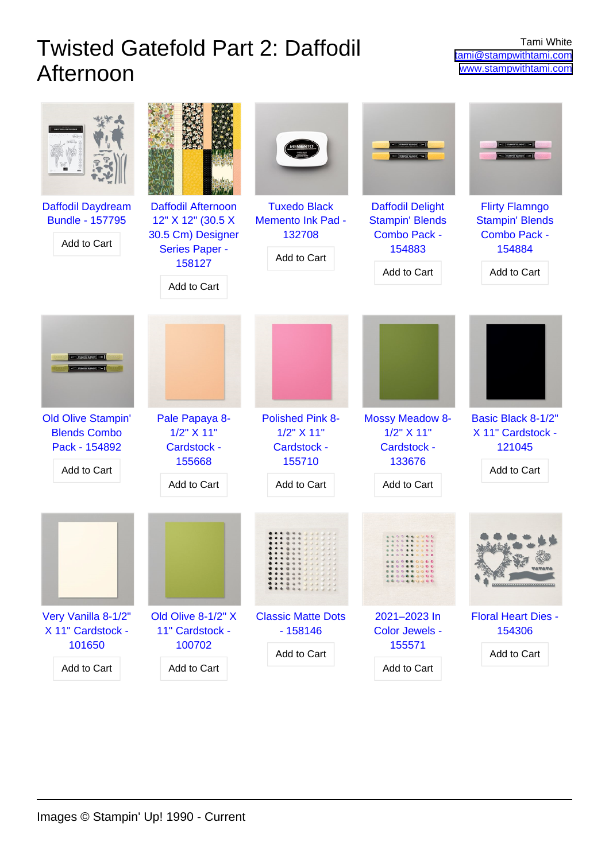## Twisted Gatefold Part 2: Daffodil Afternoon

| Daffodil Daydream<br><b>Bundle - 157795</b><br>Add to Cart        | <b>Daffodil Afternoon</b><br>12" X 12" (30.5 X<br>30.5 Cm) Designer<br><b>Series Paper -</b><br>158127<br>Add to Cart | <b>Tuxedo Black</b><br><b>Memento Ink Pad -</b><br>132708<br>Add to Cart | <b>Daffodil Delight</b><br><b>Stampin' Blends</b><br><b>Combo Pack -</b><br>154883<br>Add to Cart | <b>Flirty Flamngo</b><br><b>Stampin' Blends</b><br><b>Combo Pack -</b><br>154884<br>Add to Cart |
|-------------------------------------------------------------------|-----------------------------------------------------------------------------------------------------------------------|--------------------------------------------------------------------------|---------------------------------------------------------------------------------------------------|-------------------------------------------------------------------------------------------------|
| <b>Old Olive Stampin'</b><br><b>Blends Combo</b>                  | Pale Papaya 8-<br>$1/2$ " $\times$ 11"                                                                                | <b>Polished Pink 8-</b><br>1/2" X 11"                                    | <b>Mossy Meadow 8-</b><br>$1/2$ " $X$ 11"                                                         | Basic Black 8-1/2"<br>X 11" Cardstock -                                                         |
| Pack - 154892<br>Add to Cart                                      | Cardstock -<br>155668<br>Add to Cart                                                                                  | Cardstock -<br>155710<br>Add to Cart                                     | Cardstock -<br>133676<br>Add to Cart                                                              | 121045<br>Add to Cart                                                                           |
|                                                                   |                                                                                                                       |                                                                          |                                                                                                   |                                                                                                 |
| Very Vanilla 8-1/2"<br>X 11" Cardstock -<br>101650<br>Add to Cart | Old Olive 8-1/2" X<br>11" Cardstock -<br>100702<br>Add to Cart                                                        | <b>Classic Matte Dots</b><br>$-158146$<br>Add to Cart                    | 2021-2023 In<br>Color Jewels -<br>155571<br>Add to Cart                                           | <b>Floral Heart Dies -</b><br>154306<br>Add to Cart                                             |